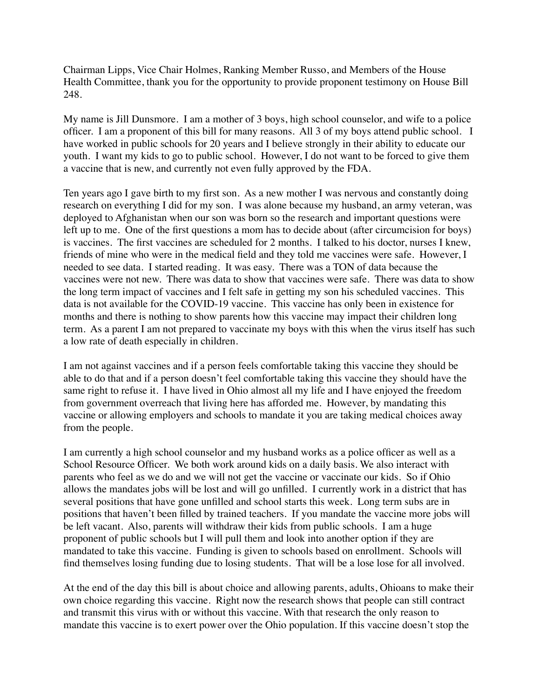Chairman Lipps, Vice Chair Holmes, Ranking Member Russo, and Members of the House Health Committee, thank you for the opportunity to provide proponent testimony on House Bill 248.

My name is Jill Dunsmore. I am a mother of 3 boys, high school counselor, and wife to a police officer. I am a proponent of this bill for many reasons. All 3 of my boys attend public school. I have worked in public schools for 20 years and I believe strongly in their ability to educate our youth. I want my kids to go to public school. However, I do not want to be forced to give them a vaccine that is new, and currently not even fully approved by the FDA.

Ten years ago I gave birth to my first son. As a new mother I was nervous and constantly doing research on everything I did for my son. I was alone because my husband, an army veteran, was deployed to Afghanistan when our son was born so the research and important questions were left up to me. One of the first questions a mom has to decide about (after circumcision for boys) is vaccines. The first vaccines are scheduled for 2 months. I talked to his doctor, nurses I knew, friends of mine who were in the medical field and they told me vaccines were safe. However, I needed to see data. I started reading. It was easy. There was a TON of data because the vaccines were not new. There was data to show that vaccines were safe. There was data to show the long term impact of vaccines and I felt safe in getting my son his scheduled vaccines. This data is not available for the COVID-19 vaccine. This vaccine has only been in existence for months and there is nothing to show parents how this vaccine may impact their children long term. As a parent I am not prepared to vaccinate my boys with this when the virus itself has such a low rate of death especially in children.

I am not against vaccines and if a person feels comfortable taking this vaccine they should be able to do that and if a person doesn't feel comfortable taking this vaccine they should have the same right to refuse it. I have lived in Ohio almost all my life and I have enjoyed the freedom from government overreach that living here has afforded me. However, by mandating this vaccine or allowing employers and schools to mandate it you are taking medical choices away from the people.

I am currently a high school counselor and my husband works as a police officer as well as a School Resource Officer. We both work around kids on a daily basis. We also interact with parents who feel as we do and we will not get the vaccine or vaccinate our kids. So if Ohio allows the mandates jobs will be lost and will go unfilled. I currently work in a district that has several positions that have gone unfilled and school starts this week. Long term subs are in positions that haven't been filled by trained teachers. If you mandate the vaccine more jobs will be left vacant. Also, parents will withdraw their kids from public schools. I am a huge proponent of public schools but I will pull them and look into another option if they are mandated to take this vaccine. Funding is given to schools based on enrollment. Schools will find themselves losing funding due to losing students. That will be a lose lose for all involved.

At the end of the day this bill is about choice and allowing parents, adults, Ohioans to make their own choice regarding this vaccine. Right now the research shows that people can still contract and transmit this virus with or without this vaccine. With that research the only reason to mandate this vaccine is to exert power over the Ohio population. If this vaccine doesn't stop the